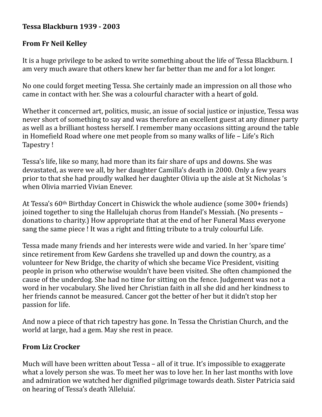## **Tessa Blackburn 1939 - 2003**

## **From Fr Neil Kelley**

It is a huge privilege to be asked to write something about the life of Tessa Blackburn. I am very much aware that others knew her far better than me and for a lot longer.

No one could forget meeting Tessa. She certainly made an impression on all those who came in contact with her. She was a colourful character with a heart of gold.

Whether it concerned art, politics, music, an issue of social justice or injustice, Tessa was never short of something to say and was therefore an excellent guest at any dinner party as well as a brilliant hostess herself. I remember many occasions sitting around the table in Homefield Road where one met people from so many walks of life – Life's Rich Tapestry!

Tessa's life, like so many, had more than its fair share of ups and downs. She was devastated, as were we all, by her daughter Camilla's death in 2000. Only a few years prior to that she had proudly walked her daughter Olivia up the aisle at St Nicholas 's when Olivia married Vivian Enever.

At Tessa's  $60$ <sup>th</sup> Birthday Concert in Chiswick the whole audience (some  $300+$  friends) joined together to sing the Hallelujah chorus from Handel's Messiah. (No presents donations to charity.) How appropriate that at the end of her Funeral Mass everyone sang the same piece! It was a right and fitting tribute to a truly colourful Life.

Tessa made many friends and her interests were wide and varied. In her 'spare time' since retirement from Kew Gardens she travelled up and down the country, as a volunteer for New Bridge, the charity of which she became Vice President, visiting people in prison who otherwise wouldn't have been visited. She often championed the cause of the underdog. She had no time for sitting on the fence. Judgement was not a word in her vocabulary. She lived her Christian faith in all she did and her kindness to her friends cannot be measured. Cancer got the better of her but it didn't stop her passion for life.

And now a piece of that rich tapestry has gone. In Tessa the Christian Church, and the world at large, had a gem. May she rest in peace.

## **From Liz Crocker**

Much will have been written about Tessa  $-$  all of it true. It's impossible to exaggerate what a lovely person she was. To meet her was to love her. In her last months with love and admiration we watched her dignified pilgrimage towards death. Sister Patricia said on hearing of Tessa's death 'Alleluia'.